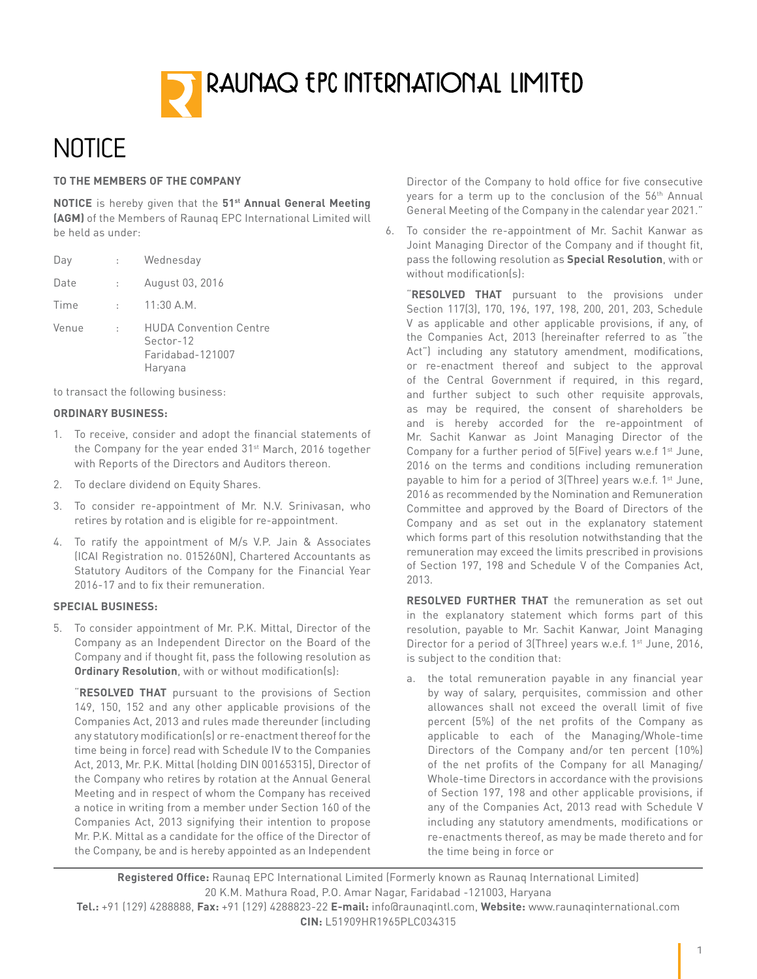

# **NOTICE**

#### **TO THE MEMBERS OF THE COMPANY**

**NOTICE** is hereby given that the **51st Annual General Meeting (AGM)** of the Members of Raunaq EPC International Limited will be held as under:

| Day   |       | Wednesday                                                                 |
|-------|-------|---------------------------------------------------------------------------|
| Date  | t in  | August 03, 2016                                                           |
| Time  | tion. | $11:30$ A.M.                                                              |
| Venue | t.    | <b>HUDA Convention Centre</b><br>Sector-12<br>Faridabad-121007<br>Haryana |

to transact the following business:

#### **ORDINARY BUSINESS:**

- 1. To receive, consider and adopt the financial statements of the Company for the year ended 31<sup>st</sup> March, 2016 together with Reports of the Directors and Auditors thereon.
- 2. To declare dividend on Equity Shares.
- 3. To consider re-appointment of Mr. N.V. Srinivasan, who retires by rotation and is eligible for re-appointment.
- 4. To ratify the appointment of M/s V.P. Jain & Associates (ICAI Registration no. 015260N), Chartered Accountants as Statutory Auditors of the Company for the Financial Year 2016-17 and to fix their remuneration.

#### **SPECIAL BUSINESS:**

5. To consider appointment of Mr. P.K. Mittal, Director of the Company as an Independent Director on the Board of the Company and if thought fit, pass the following resolution as **Ordinary Resolution**, with or without modification(s):

"**RESOLVED THAT** pursuant to the provisions of Section 149, 150, 152 and any other applicable provisions of the Companies Act, 2013 and rules made thereunder (including any statutory modification(s) or re-enactment thereof for the time being in force) read with Schedule IV to the Companies Act, 2013, Mr. P.K. Mittal (holding DIN 00165315), Director of the Company who retires by rotation at the Annual General Meeting and in respect of whom the Company has received a notice in writing from a member under Section 160 of the Companies Act, 2013 signifying their intention to propose Mr. P.K. Mittal as a candidate for the office of the Director of the Company, be and is hereby appointed as an Independent

Director of the Company to hold office for five consecutive years for a term up to the conclusion of the 56<sup>th</sup> Annual General Meeting of the Company in the calendar year 2021."

6. To consider the re-appointment of Mr. Sachit Kanwar as Joint Managing Director of the Company and if thought fit, pass the following resolution as **Special Resolution**, with or without modification(s):

"**RESOLVED THAT** pursuant to the provisions under Section 117(3), 170, 196, 197, 198, 200, 201, 203, Schedule V as applicable and other applicable provisions, if any, of the Companies Act, 2013 (hereinafter referred to as "the Act") including any statutory amendment, modifications, or re-enactment thereof and subject to the approval of the Central Government if required, in this regard, and further subject to such other requisite approvals, as may be required, the consent of shareholders be and is hereby accorded for the re-appointment of Mr. Sachit Kanwar as Joint Managing Director of the Company for a further period of  $5$ [Five] years w.e.f 1<sup>st</sup> June, 2016 on the terms and conditions including remuneration payable to him for a period of 3(Three) years w.e.f. 1<sup>st</sup> June, 2016 as recommended by the Nomination and Remuneration Committee and approved by the Board of Directors of the Company and as set out in the explanatory statement which forms part of this resolution notwithstanding that the remuneration may exceed the limits prescribed in provisions of Section 197, 198 and Schedule V of the Companies Act, 2013.

**RESOLVED FURTHER THAT** the remuneration as set out in the explanatory statement which forms part of this resolution, payable to Mr. Sachit Kanwar, Joint Managing Director for a period of 3(Three) years w.e.f. 1<sup>st</sup> June, 2016, is subject to the condition that:

a. the total remuneration payable in any financial year by way of salary, perquisites, commission and other allowances shall not exceed the overall limit of five percent (5%) of the net profits of the Company as applicable to each of the Managing/Whole-time Directors of the Company and/or ten percent (10%) of the net profits of the Company for all Managing/ Whole-time Directors in accordance with the provisions of Section 197, 198 and other applicable provisions, if any of the Companies Act, 2013 read with Schedule V including any statutory amendments, modifications or re-enactments thereof, as may be made thereto and for the time being in force or

**Registered Office:** Raunaq EPC International Limited (Formerly known as Raunaq International Limited) 20 K.M. Mathura Road, P.O. Amar Nagar, Faridabad -121003, Haryana

**Tel.:** +91 (129) 4288888, **Fax:** +91 (129) 4288823-22 **E-mail:** info@raunaqintl.com, **Website:** www.raunaqinternational.com **CIN:** L51909HR1965PLC034315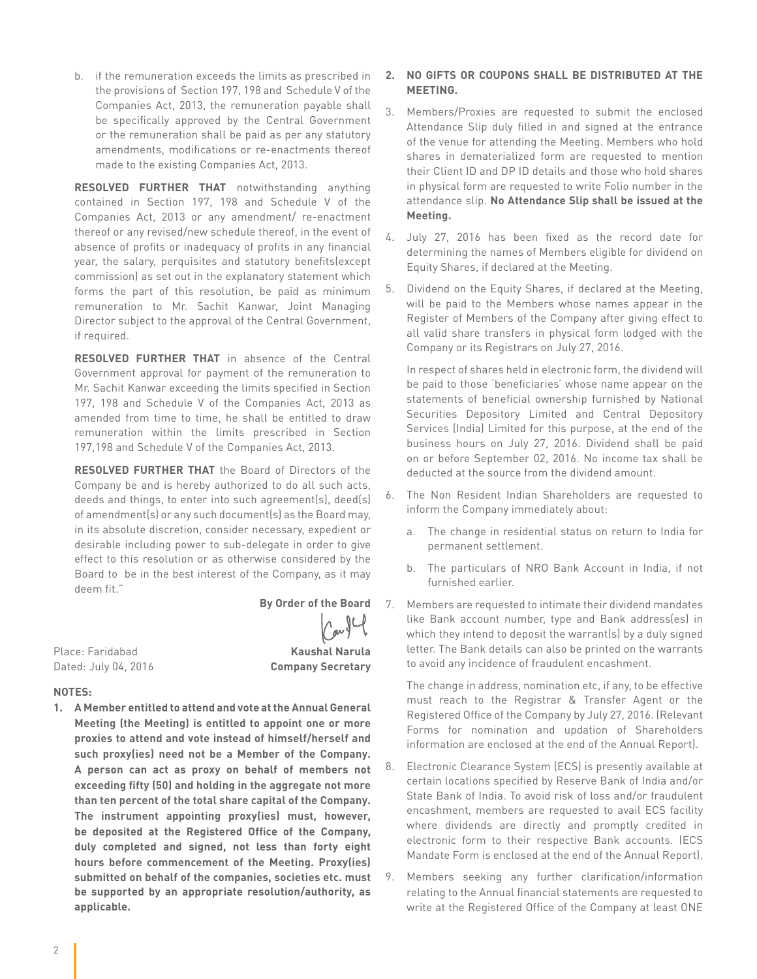b. if the remuneration exceeds the limits as prescribed in the provisions of Section 197, 198 and Schedule V of the Companies Act, 2013, the remuneration payable shall be specifically approved by the Central Government or the remuneration shall be paid as per any statutory amendments, modifications or re-enactments thereof made to the existing Companies Act, 2013.

**RESOLVED FURTHER THAT** notwithstanding anything contained in Section 197, 198 and Schedule V of the Companies Act, 2013 or any amendment/ re-enactment thereof or any revised/new schedule thereof, in the event of absence of profits or inadequacy of profits in any financial year, the salary, perquisites and statutory benefits(except commission) as set out in the explanatory statement which forms the part of this resolution, be paid as minimum remuneration to Mr. Sachit Kanwar, Joint Managing Director subject to the approval of the Central Government, if required.

**RESOLVED FURTHER THAT** in absence of the Central Government approval for payment of the remuneration to Mr. Sachit Kanwar exceeding the limits specified in Section 197, 198 and Schedule V of the Companies Act, 2013 as amended from time to time, he shall be entitled to draw remuneration within the limits prescribed in Section 197,198 and Schedule V of the Companies Act, 2013.

**RESOLVED FURTHER THAT** the Board of Directors of the Company be and is hereby authorized to do all such acts, deeds and things, to enter into such agreement(s), deed(s) of amendment(s) or any such document(s) as the Board may, in its absolute discretion, consider necessary, expedient or desirable including power to sub-delegate in order to give effect to this resolution or as otherwise considered by the Board to be in the best interest of the Company, as it may deem fit."

Place: Faridabad **Kaushal Narula**

#### **By Order of the Board**

Dated: July 04, 2016 **Company Secretary**

#### **NOTES:**

**1. A Member entitled to attend and vote at the Annual General Meeting (the Meeting) is entitled to appoint one or more proxies to attend and vote instead of himself/herself and such proxy(ies) need not be a Member of the Company. A person can act as proxy on behalf of members not exceeding fifty (50) and holding in the aggregate not more than ten percent of the total share capital of the Company. The instrument appointing proxy(ies) must, however, be deposited at the Registered Office of the Company, duly completed and signed, not less than forty eight hours before commencement of the Meeting. Proxy(ies) submitted on behalf of the companies, societies etc. must be supported by an appropriate resolution/authority, as applicable.**

#### **2. NO GIFTS OR COUPONS SHALL BE DISTRIBUTED AT THE MEETING.**

- 3. Members/Proxies are requested to submit the enclosed Attendance Slip duly filled in and signed at the entrance of the venue for attending the Meeting. Members who hold shares in dematerialized form are requested to mention their Client ID and DP ID details and those who hold shares in physical form are requested to write Folio number in the attendance slip. **No Attendance Slip shall be issued at the Meeting.**
- 4. July 27, 2016 has been fixed as the record date for determining the names of Members eligible for dividend on Equity Shares, if declared at the Meeting.
- 5. Dividend on the Equity Shares, if declared at the Meeting, will be paid to the Members whose names appear in the Register of Members of the Company after giving effect to all valid share transfers in physical form lodged with the Company or its Registrars on July 27, 2016.

In respect of shares held in electronic form, the dividend will be paid to those 'beneficiaries' whose name appear on the statements of beneficial ownership furnished by National Securities Depository Limited and Central Depository Services (India) Limited for this purpose, at the end of the business hours on July 27, 2016. Dividend shall be paid on or before September 02, 2016. No income tax shall be deducted at the source from the dividend amount.

- 6. The Non Resident Indian Shareholders are requested to inform the Company immediately about:
	- a. The change in residential status on return to India for permanent settlement.
	- b. The particulars of NRO Bank Account in India, if not furnished earlier.
- 7. Members are requested to intimate their dividend mandates like Bank account number, type and Bank address(es) in which they intend to deposit the warrant(s) by a duly signed letter. The Bank details can also be printed on the warrants to avoid any incidence of fraudulent encashment.

The change in address, nomination etc, if any, to be effective must reach to the Registrar & Transfer Agent or the Registered Office of the Company by July 27, 2016. (Relevant Forms for nomination and updation of Shareholders information are enclosed at the end of the Annual Report).

- 8. Electronic Clearance System (ECS) is presently available at certain locations specified by Reserve Bank of India and/or State Bank of India. To avoid risk of loss and/or fraudulent encashment, members are requested to avail ECS facility where dividends are directly and promptly credited in electronic form to their respective Bank accounts. (ECS Mandate Form is enclosed at the end of the Annual Report).
- 9. Members seeking any further clarification/information relating to the Annual financial statements are requested to write at the Registered Office of the Company at least ONE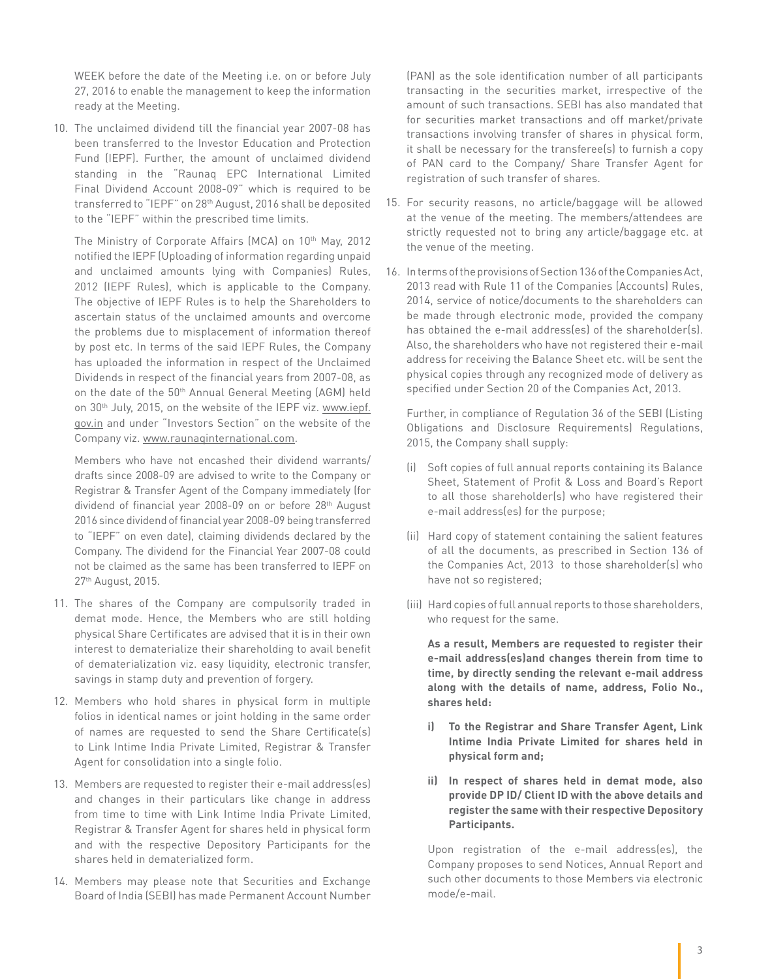WEEK before the date of the Meeting i.e. on or before July 27, 2016 to enable the management to keep the information ready at the Meeting.

10. The unclaimed dividend till the financial year 2007-08 has been transferred to the Investor Education and Protection Fund (IEPF). Further, the amount of unclaimed dividend standing in the "Raunaq EPC International Limited Final Dividend Account 2008-09" which is required to be transferred to "IEPF" on 28th August, 2016 shall be deposited to the "IEPF" within the prescribed time limits.

The Ministry of Corporate Affairs (MCA) on 10<sup>th</sup> May, 2012 notified the IEPF (Uploading of information regarding unpaid and unclaimed amounts lying with Companies) Rules, 2012 (IEPF Rules), which is applicable to the Company. The objective of IEPF Rules is to help the Shareholders to ascertain status of the unclaimed amounts and overcome the problems due to misplacement of information thereof by post etc. In terms of the said IEPF Rules, the Company has uploaded the information in respect of the Unclaimed Dividends in respect of the financial years from 2007-08, as on the date of the 50th Annual General Meeting (AGM) held on 30th July, 2015, on the website of the IEPF viz. www.iepf. gov.in and under "Investors Section" on the website of the Company viz. www.raunaqinternational.com.

Members who have not encashed their dividend warrants/ drafts since 2008-09 are advised to write to the Company or Registrar & Transfer Agent of the Company immediately (for dividend of financial year 2008-09 on or before 28<sup>th</sup> August 2016 since dividend of financial year 2008-09 being transferred to "IEPF" on even date), claiming dividends declared by the Company. The dividend for the Financial Year 2007-08 could not be claimed as the same has been transferred to IEPF on 27th August, 2015.

- 11. The shares of the Company are compulsorily traded in demat mode. Hence, the Members who are still holding physical Share Certificates are advised that it is in their own interest to dematerialize their shareholding to avail benefit of dematerialization viz. easy liquidity, electronic transfer, savings in stamp duty and prevention of forgery.
- 12. Members who hold shares in physical form in multiple folios in identical names or joint holding in the same order of names are requested to send the Share Certificate(s) to Link Intime India Private Limited, Registrar & Transfer Agent for consolidation into a single folio.
- 13. Members are requested to register their e-mail address(es) and changes in their particulars like change in address from time to time with Link Intime India Private Limited, Registrar & Transfer Agent for shares held in physical form and with the respective Depository Participants for the shares held in dematerialized form.
- 14. Members may please note that Securities and Exchange Board of India (SEBI) has made Permanent Account Number

(PAN) as the sole identification number of all participants transacting in the securities market, irrespective of the amount of such transactions. SEBI has also mandated that for securities market transactions and off market/private transactions involving transfer of shares in physical form, it shall be necessary for the transferee(s) to furnish a copy of PAN card to the Company/ Share Transfer Agent for registration of such transfer of shares.

- 15. For security reasons, no article/baggage will be allowed at the venue of the meeting. The members/attendees are strictly requested not to bring any article/baggage etc. at the venue of the meeting.
- 16. In terms of the provisions of Section 136 of the Companies Act, 2013 read with Rule 11 of the Companies (Accounts) Rules, 2014, service of notice/documents to the shareholders can be made through electronic mode, provided the company has obtained the e-mail address(es) of the shareholder(s). Also, the shareholders who have not registered their e-mail address for receiving the Balance Sheet etc. will be sent the physical copies through any recognized mode of delivery as specified under Section 20 of the Companies Act, 2013.

Further, in compliance of Regulation 36 of the SEBI (Listing Obligations and Disclosure Requirements) Regulations, 2015, the Company shall supply:

- (i) Soft copies of full annual reports containing its Balance Sheet, Statement of Profit & Loss and Board's Report to all those shareholder(s) who have registered their e-mail address(es) for the purpose;
- (ii) Hard copy of statement containing the salient features of all the documents, as prescribed in Section 136 of the Companies Act, 2013 to those shareholder(s) who have not so registered;
- (iii) Hard copies of full annual reports to those shareholders, who request for the same.

 **As a result, Members are requested to register their e-mail address(es)and changes therein from time to time, by directly sending the relevant e-mail address along with the details of name, address, Folio No., shares held:**

- **i) To the Registrar and Share Transfer Agent, Link Intime India Private Limited for shares held in physical form and;**
- **ii) In respect of shares held in demat mode, also provide DP ID/ Client ID with the above details and register the same with their respective Depository Participants.**

 Upon registration of the e-mail address(es), the Company proposes to send Notices, Annual Report and such other documents to those Members via electronic mode/e-mail.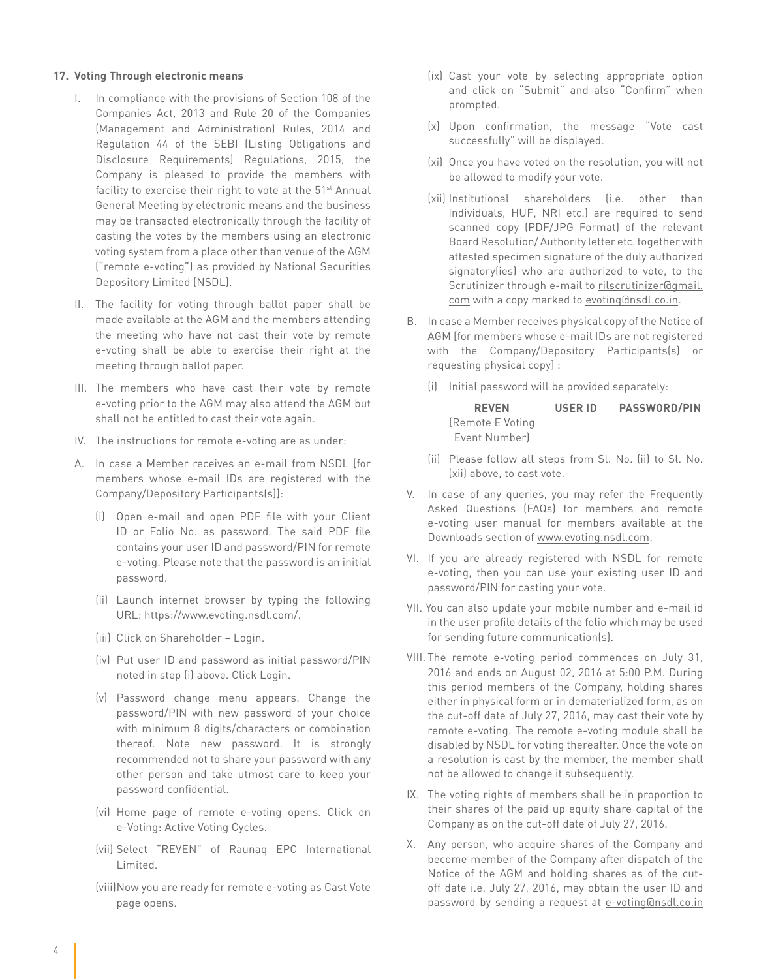#### **17. Voting Through electronic means**

- I. In compliance with the provisions of Section 108 of the Companies Act, 2013 and Rule 20 of the Companies (Management and Administration) Rules, 2014 and Regulation 44 of the SEBI (Listing Obligations and Disclosure Requirements) Regulations, 2015, the Company is pleased to provide the members with facility to exercise their right to vote at the 51<sup>st</sup> Annual General Meeting by electronic means and the business may be transacted electronically through the facility of casting the votes by the members using an electronic voting system from a place other than venue of the AGM ("remote e-voting") as provided by National Securities Depository Limited (NSDL).
- II. The facility for voting through ballot paper shall be made available at the AGM and the members attending the meeting who have not cast their vote by remote e-voting shall be able to exercise their right at the meeting through ballot paper.
- III. The members who have cast their vote by remote e-voting prior to the AGM may also attend the AGM but shall not be entitled to cast their vote again.
- IV. The instructions for remote e-voting are as under:
- A. In case a Member receives an e-mail from NSDL [for members whose e-mail IDs are registered with the Company/Depository Participants(s)]:
	- (i) Open e-mail and open PDF file with your Client ID or Folio No. as password. The said PDF file contains your user ID and password/PIN for remote e-voting. Please note that the password is an initial password.
	- (ii) Launch internet browser by typing the following URL: https://www.evoting.nsdl.com/.
	- (iii) Click on Shareholder Login.
	- (iv) Put user ID and password as initial password/PIN noted in step (i) above. Click Login.
	- (v) Password change menu appears. Change the password/PIN with new password of your choice with minimum 8 digits/characters or combination thereof. Note new password. It is strongly recommended not to share your password with any other person and take utmost care to keep your password confidential.
	- (vi) Home page of remote e-voting opens. Click on e-Voting: Active Voting Cycles.
	- (vii) Select "REVEN" of Raunaq EPC International Limited.
	- (viii)Now you are ready for remote e-voting as Cast Vote page opens.
- (ix) Cast your vote by selecting appropriate option and click on "Submit" and also "Confirm" when prompted.
- (x) Upon confirmation, the message "Vote cast successfully" will be displayed.
- (xi) Once you have voted on the resolution, you will not be allowed to modify your vote.
- (xii) Institutional shareholders (i.e. other than individuals, HUF, NRI etc.) are required to send scanned copy (PDF/JPG Format) of the relevant Board Resolution/ Authority letter etc. together with attested specimen signature of the duly authorized signatory(ies) who are authorized to vote, to the Scrutinizer through e-mail to rilscrutinizer@gmail. com with a copy marked to evoting@nsdl.co.in.
- B. In case a Member receives physical copy of the Notice of AGM [for members whose e-mail IDs are not registered with the Company/Depository Participants(s) or requesting physical copy] :
	- (i) Initial password will be provided separately:

| <b>REVEN</b>      | USER ID | <b>PASSWORD/PIN</b> |
|-------------------|---------|---------------------|
| (Remote E Voting) |         |                     |
| Event Number      |         |                     |

- (ii) Please follow all steps from Sl. No. (ii) to Sl. No. (xii) above, to cast vote.
- V. In case of any queries, you may refer the Frequently Asked Questions (FAQs) for members and remote e-voting user manual for members available at the Downloads section of www.evoting.nsdl.com.
- VI. If you are already registered with NSDL for remote e-voting, then you can use your existing user ID and password/PIN for casting your vote.
- VII. You can also update your mobile number and e-mail id in the user profile details of the folio which may be used for sending future communication(s).
- VIII. The remote e-voting period commences on July 31, 2016 and ends on August 02, 2016 at 5:00 P.M. During this period members of the Company, holding shares either in physical form or in dematerialized form, as on the cut-off date of July 27, 2016, may cast their vote by remote e-voting. The remote e-voting module shall be disabled by NSDL for voting thereafter. Once the vote on a resolution is cast by the member, the member shall not be allowed to change it subsequently.
- IX. The voting rights of members shall be in proportion to their shares of the paid up equity share capital of the Company as on the cut-off date of July 27, 2016.
- X. Any person, who acquire shares of the Company and become member of the Company after dispatch of the Notice of the AGM and holding shares as of the cutoff date i.e. July 27, 2016, may obtain the user ID and password by sending a request at e-voting@nsdl.co.in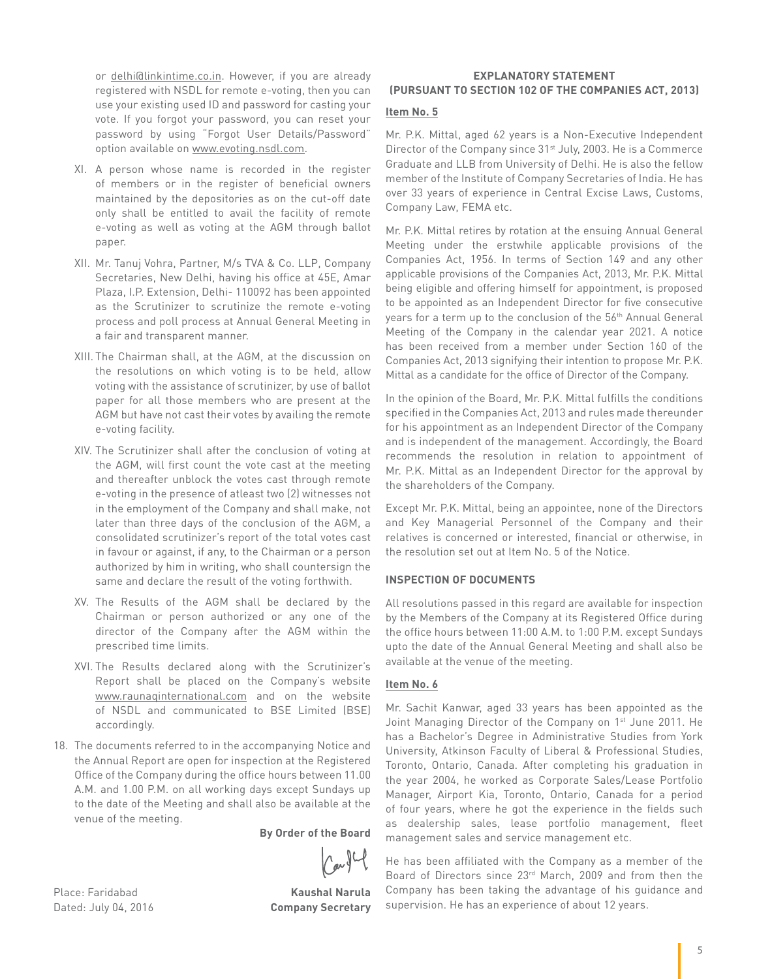or delhi@linkintime.co.in. However, if you are already registered with NSDL for remote e-voting, then you can use your existing used ID and password for casting your vote. If you forgot your password, you can reset your password by using "Forgot User Details/Password" option available on www.evoting.nsdl.com.

- XI. A person whose name is recorded in the register of members or in the register of beneficial owners maintained by the depositories as on the cut-off date only shall be entitled to avail the facility of remote e-voting as well as voting at the AGM through ballot paper.
- XII. Mr. Tanuj Vohra, Partner, M/s TVA & Co. LLP, Company Secretaries, New Delhi, having his office at 45E, Amar Plaza, I.P. Extension, Delhi- 110092 has been appointed as the Scrutinizer to scrutinize the remote e-voting process and poll process at Annual General Meeting in a fair and transparent manner.
- XIII. The Chairman shall, at the AGM, at the discussion on the resolutions on which voting is to be held, allow voting with the assistance of scrutinizer, by use of ballot paper for all those members who are present at the AGM but have not cast their votes by availing the remote e-voting facility.
- XIV. The Scrutinizer shall after the conclusion of voting at the AGM, will first count the vote cast at the meeting and thereafter unblock the votes cast through remote e-voting in the presence of atleast two (2) witnesses not in the employment of the Company and shall make, not later than three days of the conclusion of the AGM, a consolidated scrutinizer's report of the total votes cast in favour or against, if any, to the Chairman or a person authorized by him in writing, who shall countersign the same and declare the result of the voting forthwith.
- XV. The Results of the AGM shall be declared by the Chairman or person authorized or any one of the director of the Company after the AGM within the prescribed time limits.
- XVI. The Results declared along with the Scrutinizer's Report shall be placed on the Company's website www.raunaqinternational.com and on the website of NSDL and communicated to BSE Limited (BSE) accordingly.
- 18. The documents referred to in the accompanying Notice and the Annual Report are open for inspection at the Registered Office of the Company during the office hours between 11.00 A.M. and 1.00 P.M. on all working days except Sundays up to the date of the Meeting and shall also be available at the venue of the meeting.

**By Order of the Board**

Place: Faridabad **Kaushal Narula** Dated: July 04, 2016 **Company Secretary** 

#### **EXPLANATORY STATEMENT (PURSUANT TO SECTION 102 OF THE COMPANIES ACT, 2013)**

#### **Item No. 5**

Mr. P.K. Mittal, aged 62 years is a Non-Executive Independent Director of the Company since 31<sup>st</sup> July, 2003. He is a Commerce Graduate and LLB from University of Delhi. He is also the fellow member of the Institute of Company Secretaries of India. He has over 33 years of experience in Central Excise Laws, Customs, Company Law, FEMA etc.

Mr. P.K. Mittal retires by rotation at the ensuing Annual General Meeting under the erstwhile applicable provisions of the Companies Act, 1956. In terms of Section 149 and any other applicable provisions of the Companies Act, 2013, Mr. P.K. Mittal being eligible and offering himself for appointment, is proposed to be appointed as an Independent Director for five consecutive years for a term up to the conclusion of the 56<sup>th</sup> Annual General Meeting of the Company in the calendar year 2021. A notice has been received from a member under Section 160 of the Companies Act, 2013 signifying their intention to propose Mr. P.K. Mittal as a candidate for the office of Director of the Company.

In the opinion of the Board, Mr. P.K. Mittal fulfills the conditions specified in the Companies Act, 2013 and rules made thereunder for his appointment as an Independent Director of the Company and is independent of the management. Accordingly, the Board recommends the resolution in relation to appointment of Mr. P.K. Mittal as an Independent Director for the approval by the shareholders of the Company.

Except Mr. P.K. Mittal, being an appointee, none of the Directors and Key Managerial Personnel of the Company and their relatives is concerned or interested, financial or otherwise, in the resolution set out at Item No. 5 of the Notice.

#### **INSPECTION OF DOCUMENTS**

All resolutions passed in this regard are available for inspection by the Members of the Company at its Registered Office during the office hours between 11:00 A.M. to 1:00 P.M. except Sundays upto the date of the Annual General Meeting and shall also be available at the venue of the meeting.

#### **Item No. 6**

Mr. Sachit Kanwar, aged 33 years has been appointed as the Joint Managing Director of the Company on 1<sup>st</sup> June 2011. He has a Bachelor's Degree in Administrative Studies from York University, Atkinson Faculty of Liberal & Professional Studies, Toronto, Ontario, Canada. After completing his graduation in the year 2004, he worked as Corporate Sales/Lease Portfolio Manager, Airport Kia, Toronto, Ontario, Canada for a period of four years, where he got the experience in the fields such as dealership sales, lease portfolio management, fleet management sales and service management etc.

He has been affiliated with the Company as a member of the Board of Directors since 23rd March, 2009 and from then the Company has been taking the advantage of his guidance and supervision. He has an experience of about 12 years.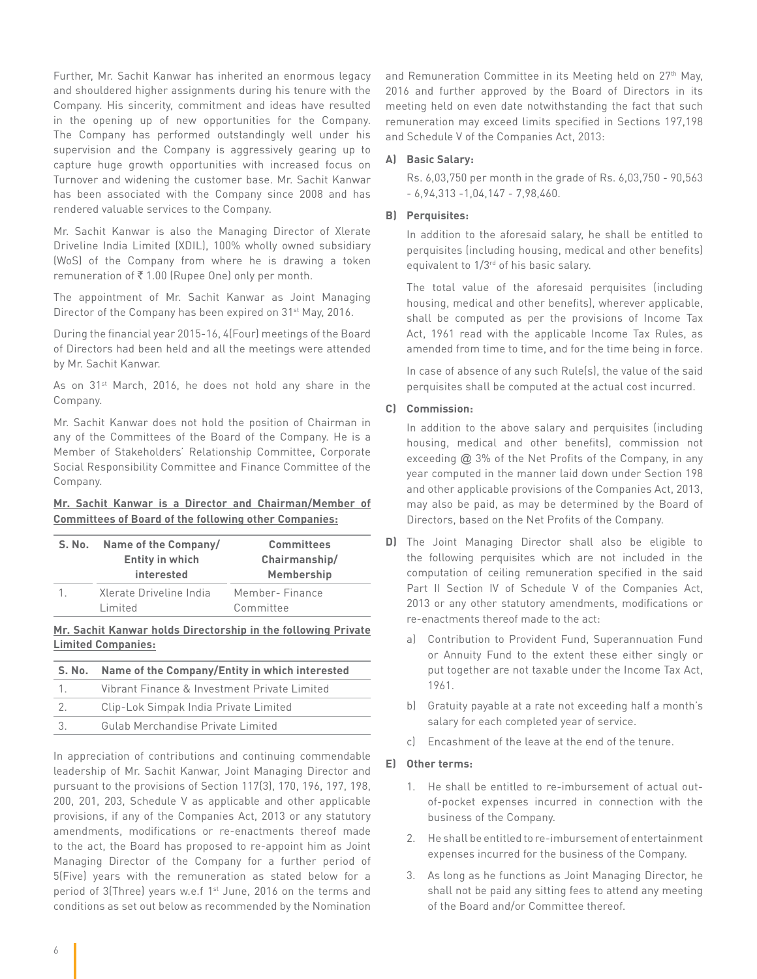Further, Mr. Sachit Kanwar has inherited an enormous legacy and shouldered higher assignments during his tenure with the Company. His sincerity, commitment and ideas have resulted in the opening up of new opportunities for the Company. The Company has performed outstandingly well under his supervision and the Company is aggressively gearing up to capture huge growth opportunities with increased focus on Turnover and widening the customer base. Mr. Sachit Kanwar has been associated with the Company since 2008 and has rendered valuable services to the Company.

Mr. Sachit Kanwar is also the Managing Director of Xlerate Driveline India Limited (XDIL), 100% wholly owned subsidiary (WoS) of the Company from where he is drawing a token remuneration of ₹1.00 (Rupee One) only per month.

The appointment of Mr. Sachit Kanwar as Joint Managing Director of the Company has been expired on 31<sup>st</sup> May, 2016.

During the financial year 2015-16, 4(Four) meetings of the Board of Directors had been held and all the meetings were attended by Mr. Sachit Kanwar.

As on 31<sup>st</sup> March, 2016, he does not hold any share in the Company.

Mr. Sachit Kanwar does not hold the position of Chairman in any of the Committees of the Board of the Company. He is a Member of Stakeholders' Relationship Committee, Corporate Social Responsibility Committee and Finance Committee of the Company.

#### **Mr. Sachit Kanwar is a Director and Chairman/Member of Committees of Board of the following other Companies:**

| S. No. | Name of the Company/<br><b>Entity in which</b><br>interested | <b>Committees</b><br>Chairmanship/<br>Membership |
|--------|--------------------------------------------------------------|--------------------------------------------------|
|        | Xlerate Driveline India<br>Limited                           | Member-Finance<br>Committee                      |

#### **Mr. Sachit Kanwar holds Directorship in the following Private Limited Companies:**

|                | S. No. Name of the Company/Entity in which interested |  |
|----------------|-------------------------------------------------------|--|
| 1 <sub>z</sub> | Vibrant Finance & Investment Private Limited          |  |
| -2.            | Clip-Lok Simpak India Private Limited                 |  |
| $\mathcal{R}$  | Gulab Merchandise Private Limited                     |  |

In appreciation of contributions and continuing commendable leadership of Mr. Sachit Kanwar, Joint Managing Director and pursuant to the provisions of Section 117(3), 170, 196, 197, 198, 200, 201, 203, Schedule V as applicable and other applicable provisions, if any of the Companies Act, 2013 or any statutory amendments, modifications or re-enactments thereof made to the act, the Board has proposed to re-appoint him as Joint Managing Director of the Company for a further period of 5(Five) years with the remuneration as stated below for a period of 3(Three) years w.e.f 1<sup>st</sup> June, 2016 on the terms and conditions as set out below as recommended by the Nomination

and Remuneration Committee in its Meeting held on 27<sup>th</sup> May, 2016 and further approved by the Board of Directors in its meeting held on even date notwithstanding the fact that such remuneration may exceed limits specified in Sections 197,198 and Schedule V of the Companies Act, 2013:

#### **A) Basic Salary:**

Rs. 6,03,750 per month in the grade of Rs. 6,03,750 - 90,563 - 6,94,313 -1,04,147 - 7,98,460.

#### **B) Perquisites:**

In addition to the aforesaid salary, he shall be entitled to perquisites (including housing, medical and other benefits) equivalent to 1/3rd of his basic salary.

The total value of the aforesaid perquisites (including housing, medical and other benefits), wherever applicable, shall be computed as per the provisions of Income Tax Act, 1961 read with the applicable Income Tax Rules, as amended from time to time, and for the time being in force.

In case of absence of any such Rule(s), the value of the said perquisites shall be computed at the actual cost incurred.

#### **C) Commission:**

In addition to the above salary and perquisites (including housing, medical and other benefits), commission not exceeding @ 3% of the Net Profits of the Company, in any year computed in the manner laid down under Section 198 and other applicable provisions of the Companies Act, 2013, may also be paid, as may be determined by the Board of Directors, based on the Net Profits of the Company.

- **D)** The Joint Managing Director shall also be eligible to the following perquisites which are not included in the computation of ceiling remuneration specified in the said Part II Section IV of Schedule V of the Companies Act, 2013 or any other statutory amendments, modifications or re-enactments thereof made to the act:
	- a) Contribution to Provident Fund, Superannuation Fund or Annuity Fund to the extent these either singly or put together are not taxable under the Income Tax Act, 1961.
	- b) Gratuity payable at a rate not exceeding half a month's salary for each completed year of service.
	- c) Encashment of the leave at the end of the tenure.

#### **E) Other terms:**

- 1. He shall be entitled to re-imbursement of actual outof-pocket expenses incurred in connection with the business of the Company.
- 2. He shall be entitled to re-imbursement of entertainment expenses incurred for the business of the Company.
- 3. As long as he functions as Joint Managing Director, he shall not be paid any sitting fees to attend any meeting of the Board and/or Committee thereof.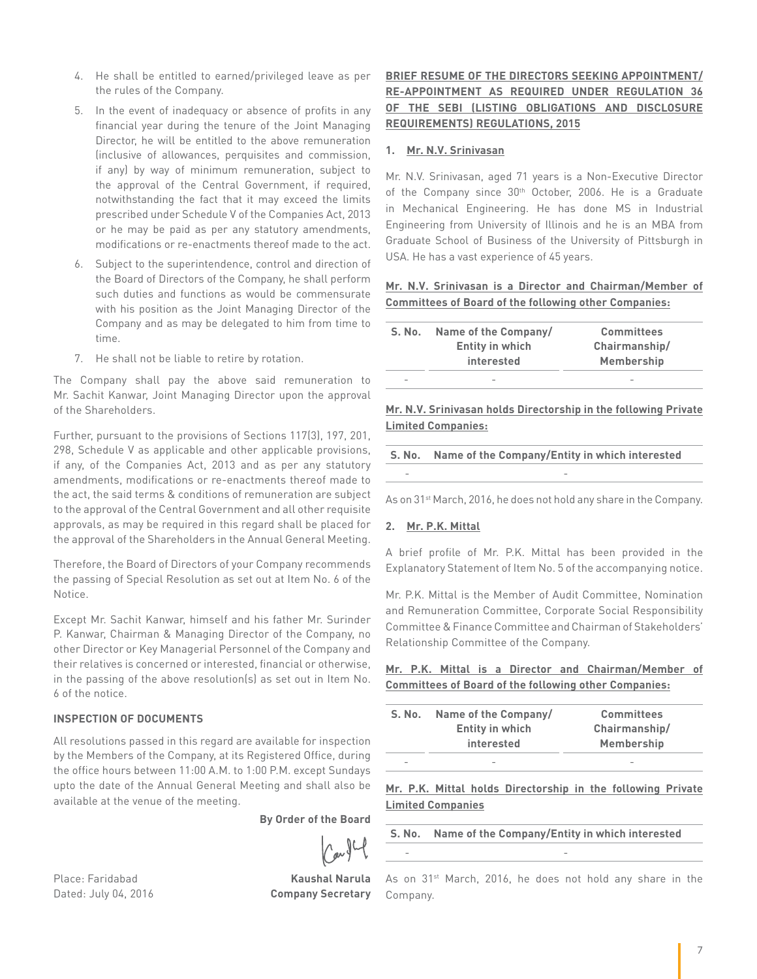- 4. He shall be entitled to earned/privileged leave as per the rules of the Company.
- 5. In the event of inadequacy or absence of profits in any financial year during the tenure of the Joint Managing Director, he will be entitled to the above remuneration (inclusive of allowances, perquisites and commission, if any) by way of minimum remuneration, subject to the approval of the Central Government, if required, notwithstanding the fact that it may exceed the limits prescribed under Schedule V of the Companies Act, 2013 or he may be paid as per any statutory amendments, modifications or re-enactments thereof made to the act.
- 6. Subject to the superintendence, control and direction of the Board of Directors of the Company, he shall perform such duties and functions as would be commensurate with his position as the Joint Managing Director of the Company and as may be delegated to him from time to time.
- 7. He shall not be liable to retire by rotation.

The Company shall pay the above said remuneration to Mr. Sachit Kanwar, Joint Managing Director upon the approval of the Shareholders.

Further, pursuant to the provisions of Sections 117(3), 197, 201, 298, Schedule V as applicable and other applicable provisions, if any, of the Companies Act, 2013 and as per any statutory amendments, modifications or re-enactments thereof made to the act, the said terms & conditions of remuneration are subject to the approval of the Central Government and all other requisite approvals, as may be required in this regard shall be placed for the approval of the Shareholders in the Annual General Meeting.

Therefore, the Board of Directors of your Company recommends the passing of Special Resolution as set out at Item No. 6 of the Notice.

Except Mr. Sachit Kanwar, himself and his father Mr. Surinder P. Kanwar, Chairman & Managing Director of the Company, no other Director or Key Managerial Personnel of the Company and their relatives is concerned or interested, financial or otherwise, in the passing of the above resolution(s) as set out in Item No. 6 of the notice.

#### **INSPECTION OF DOCUMENTS**

All resolutions passed in this regard are available for inspection by the Members of the Company, at its Registered Office, during the office hours between 11:00 A.M. to 1:00 P.M. except Sundays upto the date of the Annual General Meeting and shall also be available at the venue of the meeting.

**By Order of the Board**

Place: Faridabad **Kaushal Narula**

Dated: July 04, 2016 **Company Secretary**

#### **BRIEF RESUME OF THE DIRECTORS SEEKING APPOINTMENT/ RE-APPOINTMENT AS REQUIRED UNDER REGULATION 36 OF THE SEBI (LISTING OBLIGATIONS AND DISCLOSURE REQUIREMENTS) REGULATIONS, 2015**

#### **1. Mr. N.V. Srinivasan**

Mr. N.V. Srinivasan, aged 71 years is a Non-Executive Director of the Company since 30<sup>th</sup> October, 2006. He is a Graduate in Mechanical Engineering. He has done MS in Industrial Engineering from University of Illinois and he is an MBA from Graduate School of Business of the University of Pittsburgh in USA. He has a vast experience of 45 years.

**Mr. N.V. Srinivasan is a Director and Chairman/Member of Committees of Board of the following other Companies:**

| S. No.                   | Name of the Company/   | <b>Committees</b> |
|--------------------------|------------------------|-------------------|
|                          | <b>Entity in which</b> | Chairmanship/     |
|                          | interested             | Membership        |
| $\overline{\phantom{a}}$ |                        |                   |

**Mr. N.V. Srinivasan holds Directorship in the following Private Limited Companies:**

**S. No. Name of the Company/Entity in which interested** - -

As on 31<sup>st</sup> March, 2016, he does not hold any share in the Company.

#### **2. Mr. P.K. Mittal**

A brief profile of Mr. P.K. Mittal has been provided in the Explanatory Statement of Item No. 5 of the accompanying notice.

Mr. P.K. Mittal is the Member of Audit Committee, Nomination and Remuneration Committee, Corporate Social Responsibility Committee & Finance Committee and Chairman of Stakeholders' Relationship Committee of the Company.

**Mr. P.K. Mittal is a Director and Chairman/Member of Committees of Board of the following other Companies:**

| S. No.                   | Name of the Company/     | <b>Committees</b>            |
|--------------------------|--------------------------|------------------------------|
|                          | <b>Entity in which</b>   | Chairmanship/                |
|                          | interested               | <b>Membership</b>            |
| $\overline{\phantom{0}}$ | $\overline{\phantom{a}}$ | $\qquad \qquad \blacksquare$ |

**Mr. P.K. Mittal holds Directorship in the following Private Limited Companies**

**S. No. Name of the Company/Entity in which interested**

- -

As on 31<sup>st</sup> March, 2016, he does not hold any share in the Company.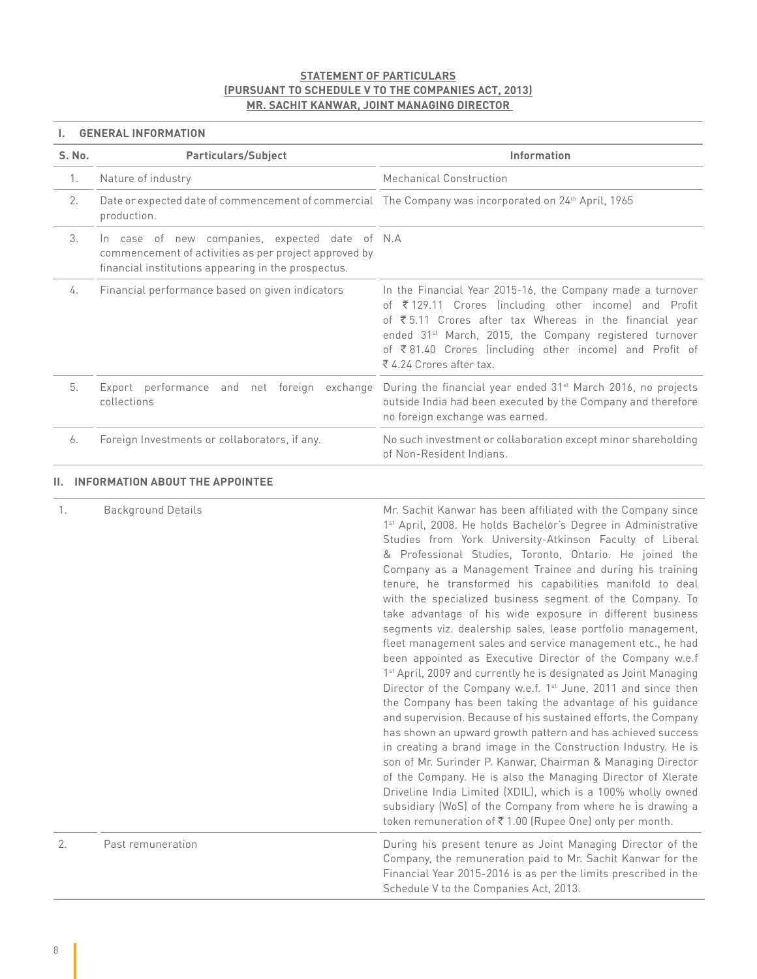#### **STATEMENT OF PARTICULARS (PURSUANT TO SCHEDULE V TO THE COMPANIES ACT, 2013) MR. SACHIT KANWAR, JOINT MANAGING DIRECTOR**

#### **I. GENERAL INFORMATION**

| S. No. | <b>Particulars/Subject</b>                                                                                                                                     | <b>Information</b>                                                                                                                                                                                                                                                                                                                           |
|--------|----------------------------------------------------------------------------------------------------------------------------------------------------------------|----------------------------------------------------------------------------------------------------------------------------------------------------------------------------------------------------------------------------------------------------------------------------------------------------------------------------------------------|
| 1.     | Nature of industry                                                                                                                                             | Mechanical Construction                                                                                                                                                                                                                                                                                                                      |
| 2.     | Date or expected date of commencement of commercial The Company was incorporated on 24th April, 1965<br>production.                                            |                                                                                                                                                                                                                                                                                                                                              |
| 3.     | In case of new companies, expected date of N.A<br>commencement of activities as per project approved by<br>financial institutions appearing in the prospectus. |                                                                                                                                                                                                                                                                                                                                              |
| 4.     | Financial performance based on given indicators                                                                                                                | In the Financial Year 2015-16, the Company made a turnover<br>of ₹129.11 Crores (including other income) and Profit<br>of ₹5.11 Crores after tax Whereas in the financial year<br>ended 31 <sup>st</sup> March, 2015, the Company registered turnover<br>of ₹81.40 Crores (including other income) and Profit of<br>₹ 4.24 Crores after tax. |
| 5.     | Export performance and net foreign exchange<br>collections                                                                                                     | During the financial year ended 31 <sup>st</sup> March 2016, no projects<br>outside India had been executed by the Company and therefore<br>no foreign exchange was earned.                                                                                                                                                                  |
| 6.     | Foreign Investments or collaborators, if any.                                                                                                                  | No such investment or collaboration except minor shareholding<br>of Non-Resident Indians.                                                                                                                                                                                                                                                    |

#### **II. INFORMATION ABOUT THE APPOINTEE**

| son of Mr. Surinder P. Kanwar, Chairman & Managing Director<br>of the Company. He is also the Managing Director of Xlerate<br>Driveline India Limited (XDIL), which is a 100% wholly owned<br>subsidiary (WoS) of the Company from where he is drawing a<br>token remuneration of ₹1.00 (Rupee One) only per month. | 1. | <b>Background Details</b> | Mr. Sachit Kanwar has been affiliated with the Company since<br>1 <sup>st</sup> April, 2008. He holds Bachelor's Degree in Administrative<br>Studies from York University-Atkinson Faculty of Liberal<br>& Professional Studies, Toronto, Ontario. He joined the<br>Company as a Management Trainee and during his training<br>tenure, he transformed his capabilities manifold to deal<br>with the specialized business segment of the Company. To<br>take advantage of his wide exposure in different business<br>segments viz. dealership sales, lease portfolio management,<br>fleet management sales and service management etc., he had<br>been appointed as Executive Director of the Company w.e.f<br>1 <sup>st</sup> April, 2009 and currently he is designated as Joint Managing<br>Director of the Company w.e.f. 1 <sup>st</sup> June, 2011 and since then<br>the Company has been taking the advantage of his guidance<br>and supervision. Because of his sustained efforts, the Company<br>has shown an upward growth pattern and has achieved success<br>in creating a brand image in the Construction Industry. He is |
|---------------------------------------------------------------------------------------------------------------------------------------------------------------------------------------------------------------------------------------------------------------------------------------------------------------------|----|---------------------------|---------------------------------------------------------------------------------------------------------------------------------------------------------------------------------------------------------------------------------------------------------------------------------------------------------------------------------------------------------------------------------------------------------------------------------------------------------------------------------------------------------------------------------------------------------------------------------------------------------------------------------------------------------------------------------------------------------------------------------------------------------------------------------------------------------------------------------------------------------------------------------------------------------------------------------------------------------------------------------------------------------------------------------------------------------------------------------------------------------------------------------------|
| 2.<br>Past remuneration<br>During his present tenure as Joint Managing Director of the<br>Company, the remuneration paid to Mr. Sachit Kanwar for the<br>Financial Year 2015-2016 is as per the limits prescribed in the<br>Schedule V to the Companies Act, 2013.                                                  |    |                           |                                                                                                                                                                                                                                                                                                                                                                                                                                                                                                                                                                                                                                                                                                                                                                                                                                                                                                                                                                                                                                                                                                                                       |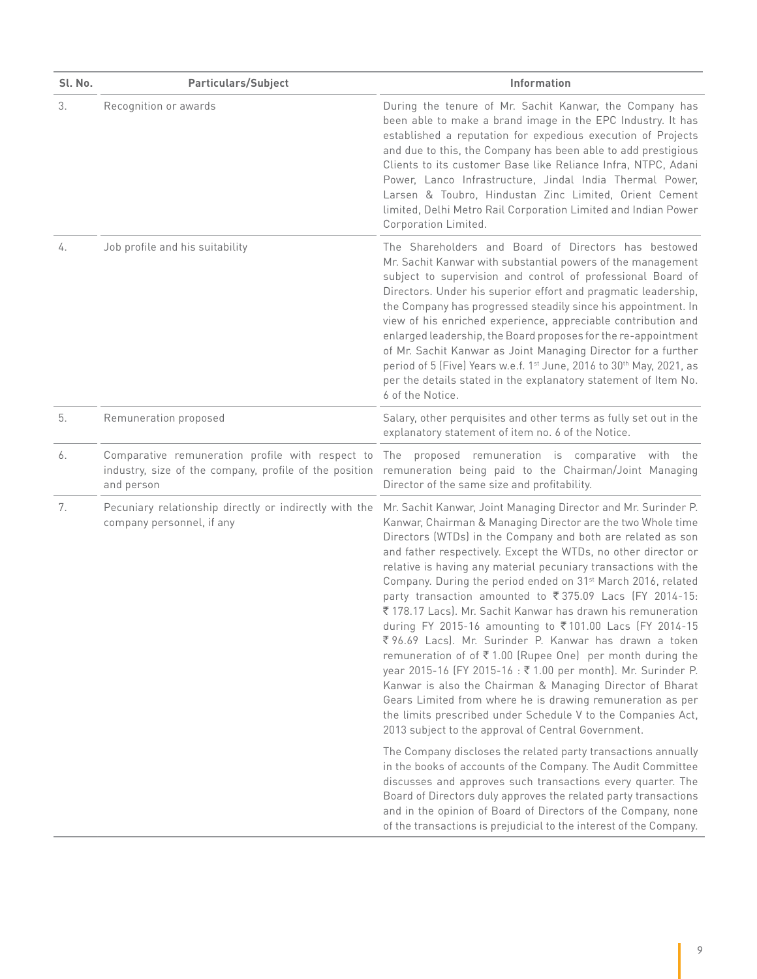| Sl. No. | <b>Particulars/Subject</b>                                                                                               | Information                                                                                                                                                                                                                                                                                                                                                                                                                                                                                                                                                                                                                                                                                                                                                                                                                                                                                                                                                                                                                                  |
|---------|--------------------------------------------------------------------------------------------------------------------------|----------------------------------------------------------------------------------------------------------------------------------------------------------------------------------------------------------------------------------------------------------------------------------------------------------------------------------------------------------------------------------------------------------------------------------------------------------------------------------------------------------------------------------------------------------------------------------------------------------------------------------------------------------------------------------------------------------------------------------------------------------------------------------------------------------------------------------------------------------------------------------------------------------------------------------------------------------------------------------------------------------------------------------------------|
| 3.      | Recognition or awards                                                                                                    | During the tenure of Mr. Sachit Kanwar, the Company has<br>been able to make a brand image in the EPC Industry. It has<br>established a reputation for expedious execution of Projects<br>and due to this, the Company has been able to add prestigious<br>Clients to its customer Base like Reliance Infra, NTPC, Adani<br>Power, Lanco Infrastructure, Jindal India Thermal Power,<br>Larsen & Toubro, Hindustan Zinc Limited, Orient Cement<br>limited, Delhi Metro Rail Corporation Limited and Indian Power<br>Corporation Limited.                                                                                                                                                                                                                                                                                                                                                                                                                                                                                                     |
| 4.      | Job profile and his suitability                                                                                          | The Shareholders and Board of Directors has bestowed<br>Mr. Sachit Kanwar with substantial powers of the management<br>subject to supervision and control of professional Board of<br>Directors. Under his superior effort and pragmatic leadership,<br>the Company has progressed steadily since his appointment. In<br>view of his enriched experience, appreciable contribution and<br>enlarged leadership, the Board proposes for the re-appointment<br>of Mr. Sachit Kanwar as Joint Managing Director for a further<br>period of 5 (Five) Years w.e.f. 1 <sup>st</sup> June, 2016 to 30 <sup>th</sup> May, 2021, as<br>per the details stated in the explanatory statement of Item No.<br>6 of the Notice.                                                                                                                                                                                                                                                                                                                             |
| 5.      | Remuneration proposed                                                                                                    | Salary, other perquisites and other terms as fully set out in the<br>explanatory statement of item no. 6 of the Notice.                                                                                                                                                                                                                                                                                                                                                                                                                                                                                                                                                                                                                                                                                                                                                                                                                                                                                                                      |
| 6.      | Comparative remuneration profile with respect to<br>industry, size of the company, profile of the position<br>and person | The proposed remuneration is comparative with the<br>remuneration being paid to the Chairman/Joint Managing<br>Director of the same size and profitability.                                                                                                                                                                                                                                                                                                                                                                                                                                                                                                                                                                                                                                                                                                                                                                                                                                                                                  |
| 7.      | Pecuniary relationship directly or indirectly with the<br>company personnel, if any                                      | Mr. Sachit Kanwar, Joint Managing Director and Mr. Surinder P.<br>Kanwar, Chairman & Managing Director are the two Whole time<br>Directors (WTDs) in the Company and both are related as son<br>and father respectively. Except the WTDs, no other director or<br>relative is having any material pecuniary transactions with the<br>Company. During the period ended on 31 <sup>st</sup> March 2016, related<br>party transaction amounted to ₹375.09 Lacs (FY 2014-15:<br>₹ 178.17 Lacs). Mr. Sachit Kanwar has drawn his remuneration<br>during FY 2015-16 amounting to ₹101.00 Lacs (FY 2014-15<br>₹96.69 Lacs). Mr. Surinder P. Kanwar has drawn a token<br>remuneration of of ₹1.00 (Rupee One) per month during the<br>year 2015-16 (FY 2015-16 : ₹1.00 per month). Mr. Surinder P.<br>Kanwar is also the Chairman & Managing Director of Bharat<br>Gears Limited from where he is drawing remuneration as per<br>the limits prescribed under Schedule V to the Companies Act,<br>2013 subject to the approval of Central Government. |
|         |                                                                                                                          | The Company discloses the related party transactions annually<br>in the books of accounts of the Company. The Audit Committee<br>discusses and approves such transactions every quarter. The<br>Board of Directors duly approves the related party transactions<br>and in the opinion of Board of Directors of the Company, none<br>of the transactions is prejudicial to the interest of the Company.                                                                                                                                                                                                                                                                                                                                                                                                                                                                                                                                                                                                                                       |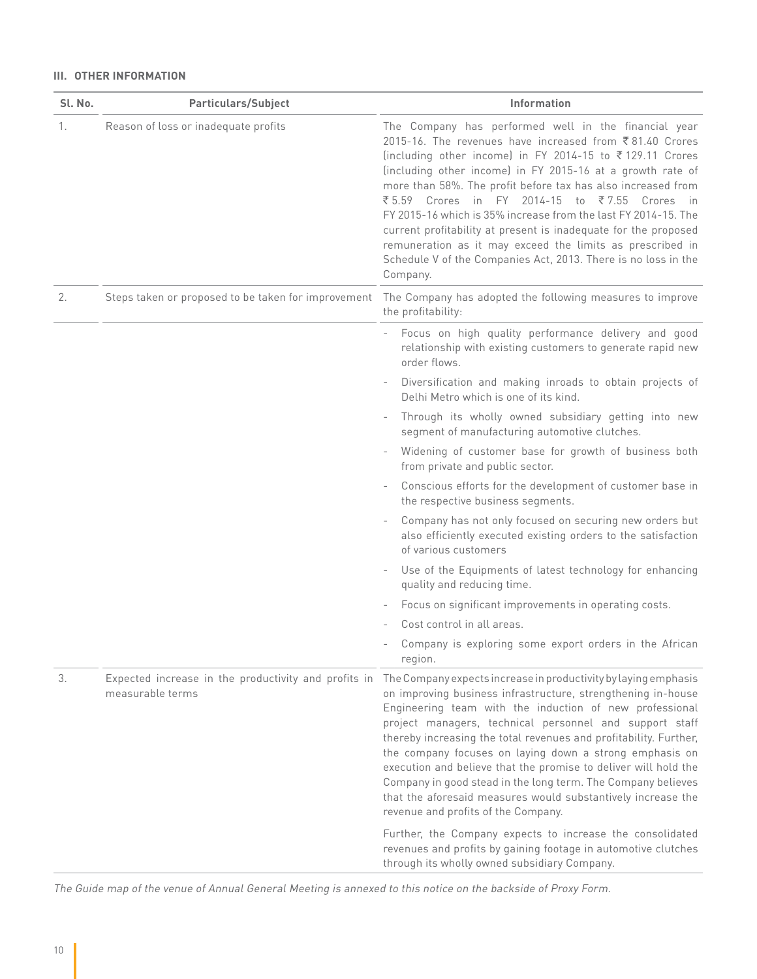#### **III. OTHER INFORMATION**

| Sl. No. | Particulars/Subject                                                      | Information                                                                                                                                                                                                                                                                                                                                                                                                                                                                                                                                                                                                                                |
|---------|--------------------------------------------------------------------------|--------------------------------------------------------------------------------------------------------------------------------------------------------------------------------------------------------------------------------------------------------------------------------------------------------------------------------------------------------------------------------------------------------------------------------------------------------------------------------------------------------------------------------------------------------------------------------------------------------------------------------------------|
| 1.      | Reason of loss or inadequate profits                                     | The Company has performed well in the financial year<br>2015-16. The revenues have increased from ₹81.40 Crores<br>(including other income) in FY 2014-15 to ₹129.11 Crores<br>(including other income) in FY 2015-16 at a growth rate of<br>more than 58%. The profit before tax has also increased from<br>₹5.59 Crores in FY 2014-15 to ₹7.55 Crores in<br>FY 2015-16 which is 35% increase from the last FY 2014-15. The<br>current profitability at present is inadequate for the proposed<br>remuneration as it may exceed the limits as prescribed in<br>Schedule V of the Companies Act, 2013. There is no loss in the<br>Company. |
| 2.      | Steps taken or proposed to be taken for improvement                      | The Company has adopted the following measures to improve<br>the profitability:                                                                                                                                                                                                                                                                                                                                                                                                                                                                                                                                                            |
|         |                                                                          | Focus on high quality performance delivery and good<br>$\overline{\phantom{a}}$<br>relationship with existing customers to generate rapid new<br>order flows.                                                                                                                                                                                                                                                                                                                                                                                                                                                                              |
|         |                                                                          | Diversification and making inroads to obtain projects of<br>Delhi Metro which is one of its kind.                                                                                                                                                                                                                                                                                                                                                                                                                                                                                                                                          |
|         |                                                                          | Through its wholly owned subsidiary getting into new<br>segment of manufacturing automotive clutches.                                                                                                                                                                                                                                                                                                                                                                                                                                                                                                                                      |
|         |                                                                          | Widening of customer base for growth of business both<br>from private and public sector.                                                                                                                                                                                                                                                                                                                                                                                                                                                                                                                                                   |
|         |                                                                          | Conscious efforts for the development of customer base in<br>the respective business segments.                                                                                                                                                                                                                                                                                                                                                                                                                                                                                                                                             |
|         |                                                                          | Company has not only focused on securing new orders but<br>also efficiently executed existing orders to the satisfaction<br>of various customers                                                                                                                                                                                                                                                                                                                                                                                                                                                                                           |
|         |                                                                          | Use of the Equipments of latest technology for enhancing<br>quality and reducing time.                                                                                                                                                                                                                                                                                                                                                                                                                                                                                                                                                     |
|         |                                                                          | Focus on significant improvements in operating costs.                                                                                                                                                                                                                                                                                                                                                                                                                                                                                                                                                                                      |
|         |                                                                          | Cost control in all areas.                                                                                                                                                                                                                                                                                                                                                                                                                                                                                                                                                                                                                 |
|         |                                                                          | Company is exploring some export orders in the African<br>region.                                                                                                                                                                                                                                                                                                                                                                                                                                                                                                                                                                          |
| 3.      | Expected increase in the productivity and profits in<br>measurable terms | The Company expects increase in productivity by laying emphasis<br>on improving business infrastructure, strengthening in-house<br>Engineering team with the induction of new professional<br>project managers, technical personnel and support staff<br>thereby increasing the total revenues and profitability. Further,<br>the company focuses on laying down a strong emphasis on<br>execution and believe that the promise to deliver will hold the<br>Company in good stead in the long term. The Company believes<br>that the aforesaid measures would substantively increase the<br>revenue and profits of the Company.            |
|         |                                                                          | Further, the Company expects to increase the consolidated<br>revenues and profits by gaining footage in automotive clutches<br>through its wholly owned subsidiary Company.                                                                                                                                                                                                                                                                                                                                                                                                                                                                |

The Guide map of the venue of Annual General Meeting is annexed to this notice on the backside of Proxy Form.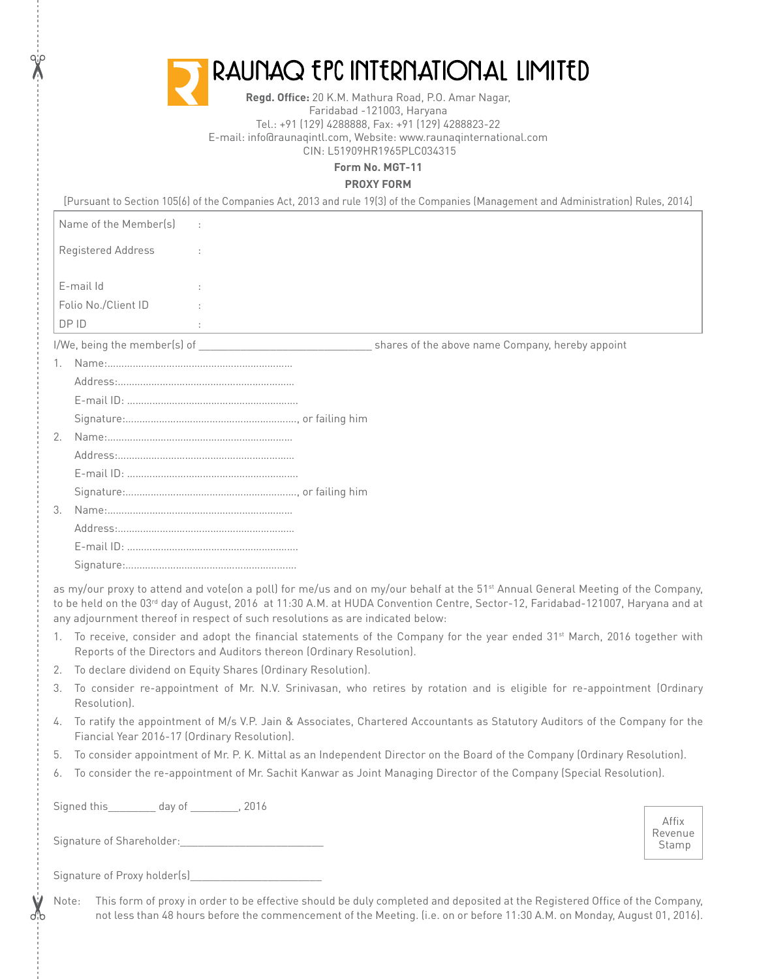| RAUNAQ EPC INTERNATIONAL LIMITED                                                          |  |
|-------------------------------------------------------------------------------------------|--|
| <b>Regd. Office:</b> 20 K.M. Mathura Road, P.O. Amar Nagar,<br>Faridabad -121003, Haryana |  |

Tel.: +91 (129) 4288888, Fax: +91 (129) 4288823-22 E-mail: info@raunaqintl.com, Website: www.raunaqinternational.com CIN: L51909HR1965PLC034315

**Form No. MGT-11**

**PROXY FORM**

|               |                       |        | [Pursuant to Section 105(6) of the Companies Act, 2013 and rule 19(3) of the Companies (Management and Administration) Rules, 2014] |
|---------------|-----------------------|--------|-------------------------------------------------------------------------------------------------------------------------------------|
|               | Name of the Member(s) | $\sim$ |                                                                                                                                     |
|               | Registered Address    |        |                                                                                                                                     |
|               | E-mail Id             |        |                                                                                                                                     |
|               |                       |        |                                                                                                                                     |
|               | Folio No./Client ID   |        |                                                                                                                                     |
|               | DP ID                 |        |                                                                                                                                     |
|               |                       |        | shares of the above name Company, hereby appoint                                                                                    |
| 1.            |                       |        |                                                                                                                                     |
|               |                       |        |                                                                                                                                     |
|               |                       |        |                                                                                                                                     |
|               |                       |        |                                                                                                                                     |
| 2.            |                       |        |                                                                                                                                     |
|               |                       |        |                                                                                                                                     |
|               |                       |        |                                                                                                                                     |
|               |                       |        |                                                                                                                                     |
| $\mathcal{E}$ |                       |        |                                                                                                                                     |
|               |                       |        |                                                                                                                                     |
|               |                       |        |                                                                                                                                     |
|               |                       |        |                                                                                                                                     |

as my/our proxy to attend and vote(on a poll) for me/us and on my/our behalf at the 51<sup>st</sup> Annual General Meeting of the Company, to be held on the 03<sup>rd</sup> day of August, 2016 at 11:30 A.M. at HUDA Convention Centre, Sector-12, Faridabad-121007, Haryana and at any adjournment thereof in respect of such resolutions as are indicated below:

- 1. To receive, consider and adopt the financial statements of the Company for the year ended 31<sup>st</sup> March, 2016 together with Reports of the Directors and Auditors thereon (Ordinary Resolution).
- 2. To declare dividend on Equity Shares (Ordinary Resolution).
- 3. To consider re-appointment of Mr. N.V. Srinivasan, who retires by rotation and is eligible for re-appointment (Ordinary Resolution).
- 4. To ratify the appointment of M/s V.P. Jain & Associates, Chartered Accountants as Statutory Auditors of the Company for the Fiancial Year 2016-17 (Ordinary Resolution).
- 5. To consider appointment of Mr. P. K. Mittal as an Independent Director on the Board of the Company (Ordinary Resolution).
- 6. To consider the re-appointment of Mr. Sachit Kanwar as Joint Managing Director of the Company (Special Resolution).

Signed this day of 2016

| Signature of Shareholder: |  |
|---------------------------|--|
|---------------------------|--|

| Signature of Proxy holder(s) |  |  |
|------------------------------|--|--|
|                              |  |  |
|                              |  |  |

 $\chi$ 

Note: This form of proxy in order to be effective should be duly completed and deposited at the Registered Office of the Company, not less than 48 hours before the commencement of the Meeting. (i.e. on or before 11:30 A.M. on Monday, August 01, 2016).

Affix Revenue Stamp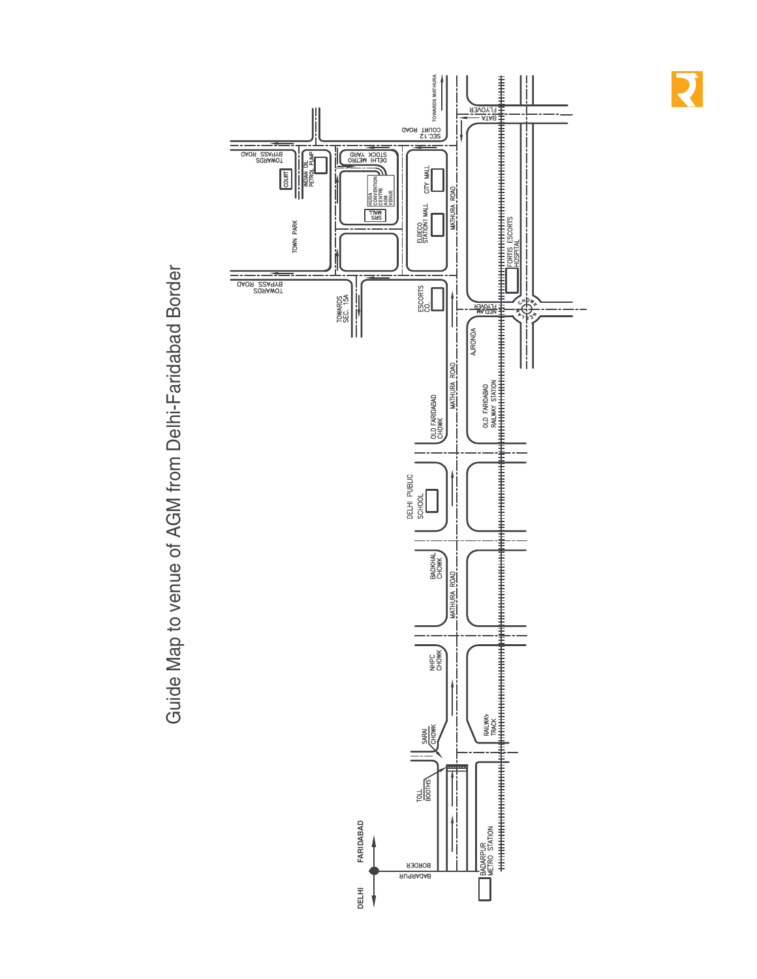